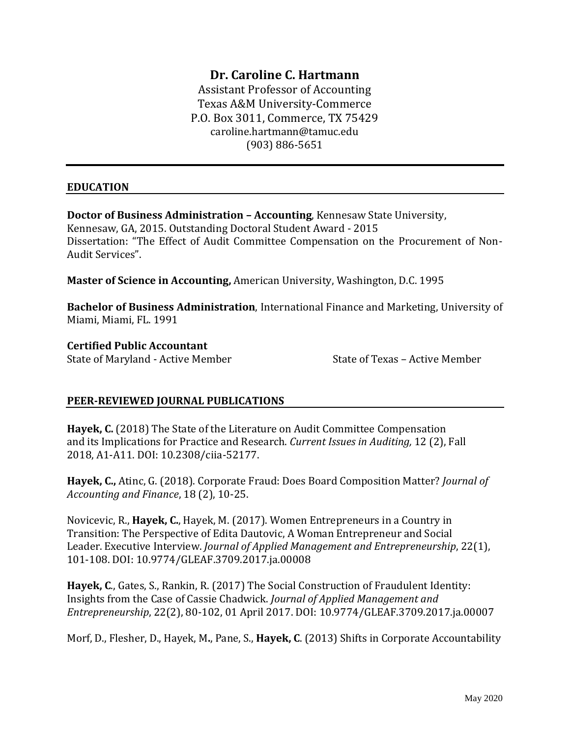# **Dr. Caroline C. Hartmann**

Assistant Professor of Accounting Texas A&M University-Commerce P.O. Box 3011, Commerce, TX 75429 caroline.hartmann@tamuc.edu (903) 886-5651

#### **EDUCATION**

**Doctor of Business Administration – Accounting**, Kennesaw State University, Kennesaw, GA, 2015. Outstanding Doctoral Student Award - 2015 Dissertation: "The Effect of Audit Committee Compensation on the Procurement of Non-Audit Services".

**Master of Science in Accounting,** American University, Washington, D.C. 1995

**Bachelor of Business Administration**, International Finance and Marketing, University of Miami, Miami, FL. 1991

**Certified Public Accountant** 

State of Maryland - Active Member State of Texas – Active Member

## **PEER-REVIEWED JOURNAL PUBLICATIONS**

**Hayek, C.** (2018) The State of the Literature on Audit Committee Compensation and its Implications for Practice and Research. *Current Issues in Auditing,* 12 (2), Fall 2018, A1-A11. DOI: 10.2308/ciia-52177.

**Hayek, C.,** Atinc, G. (2018). Corporate Fraud: Does Board Composition Matter? *Journal of Accounting and Finance*, 18 (2), 10-25.

Novicevic, R., **Hayek, C.**, Hayek, M. (2017). Women Entrepreneurs in a Country in Transition: The Perspective of Edita Dautovic, A Woman Entrepreneur and Social Leader. Executive Interview. *Journal of Applied Management and Entrepreneurship*, 22(1), 101-108. DOI: 10.9774/GLEAF.3709.2017.ja.00008

**Hayek, C**., Gates, S., Rankin, R. (2017) The Social Construction of Fraudulent Identity: Insights from the Case of Cassie Chadwick. *Journal of Applied Management and Entrepreneurship*, 22(2), 80-102, 01 April 2017. DOI: 10.9774/GLEAF.3709.2017.ja.00007

Morf, D., Flesher, D., Hayek, M**.**, Pane, S., **Hayek, C**. (2013) Shifts in Corporate Accountability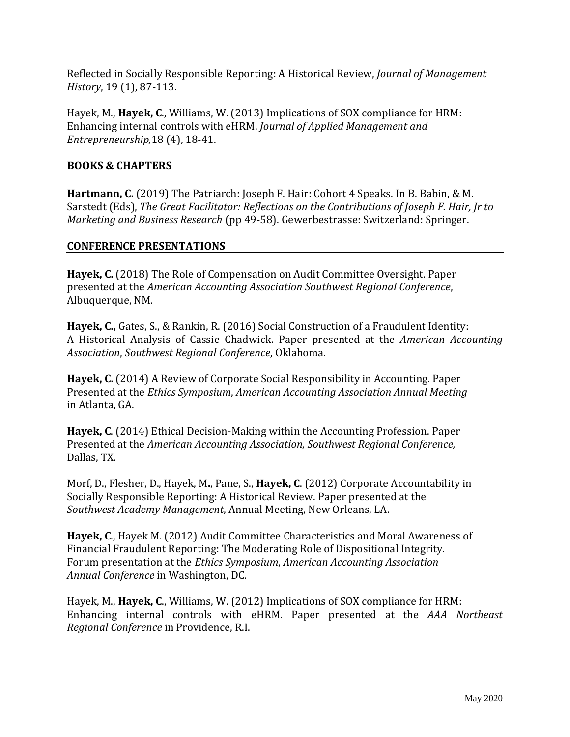Reflected in Socially Responsible Reporting: A Historical Review, *Journal of Management History*, 19 (1), 87-113.

Hayek, M., **Hayek, C**., Williams, W. (2013) Implications of SOX compliance for HRM: Enhancing internal controls with eHRM. *Journal of Applied Management and Entrepreneurship,*18 (4), 18-41.

#### **BOOKS & CHAPTERS**

**Hartmann, C.** (2019) The Patriarch: Joseph F. Hair: Cohort 4 Speaks. In B. Babin, & M. Sarstedt (Eds), *The Great Facilitator: Reflections on the Contributions of Joseph F. Hair, Jr to Marketing and Business Research* (pp 49-58). Gewerbestrasse: Switzerland: Springer.

#### **CONFERENCE PRESENTATIONS**

**Hayek, C.** (2018) The Role of Compensation on Audit Committee Oversight. Paper presented at the *American Accounting Association Southwest Regional Conference*, Albuquerque, NM.

**Hayek, C.,** Gates, S., & Rankin, R. (2016) Social Construction of a Fraudulent Identity: A Historical Analysis of Cassie Chadwick. Paper presented at the *American Accounting Association*, *Southwest Regional Conference*, Oklahoma.

**Hayek, C.** (2014) A Review of Corporate Social Responsibility in Accounting. Paper Presented at the *Ethics Symposium*, *American Accounting Association Annual Meeting* in Atlanta, GA.

**Hayek, C**. (2014) Ethical Decision-Making within the Accounting Profession. Paper Presented at the *American Accounting Association, Southwest Regional Conference,* Dallas, TX.

Morf, D., Flesher, D., Hayek, M**.**, Pane, S., **Hayek, C**. (2012) Corporate Accountability in Socially Responsible Reporting: A Historical Review. Paper presented at the *Southwest Academy Management*, Annual Meeting, New Orleans, LA.

**Hayek, C**., Hayek M. (2012) Audit Committee Characteristics and Moral Awareness of Financial Fraudulent Reporting: The Moderating Role of Dispositional Integrity. Forum presentation at the *Ethics Symposium*, *American Accounting Association Annual Conference* in Washington, DC.

Hayek, M., **Hayek, C**., Williams, W. (2012) Implications of SOX compliance for HRM: Enhancing internal controls with eHRM. Paper presented at the *AAA Northeast Regional Conference* in Providence, R.I.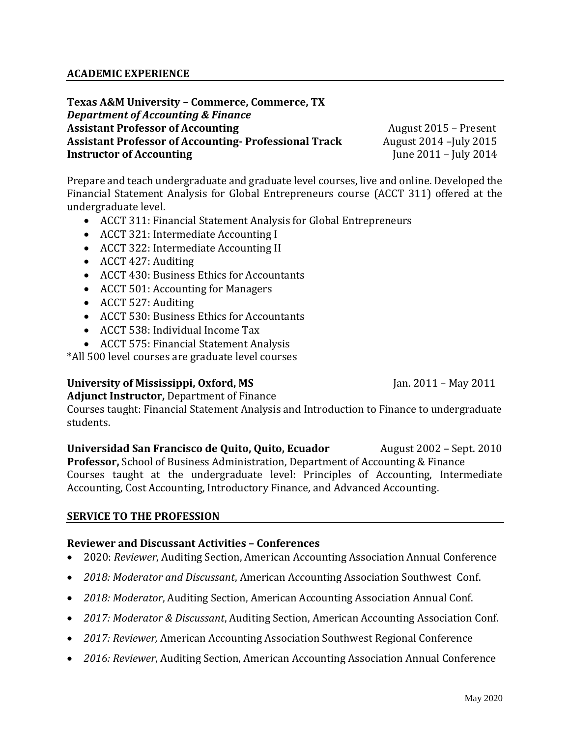**Texas A&M University – Commerce, Commerce, TX** *Department of Accounting & Finance* Assistant Professor of Accounting **August 2015** – Present **Assistant Professor of Accounting- Professional Track** August 2014 –July 2015 **Instructor of Accounting** June 2011 – July 2014

Prepare and teach undergraduate and graduate level courses, live and online. Developed the Financial Statement Analysis for Global Entrepreneurs course (ACCT 311) offered at the undergraduate level.

- ACCT 311: Financial Statement Analysis for Global Entrepreneurs
- ACCT 321: Intermediate Accounting I
- ACCT 322: Intermediate Accounting II
- ACCT 427: Auditing
- ACCT 430: Business Ethics for Accountants
- ACCT 501: Accounting for Managers
- ACCT 527: Auditing
- ACCT 530: Business Ethics for Accountants
- ACCT 538: Individual Income Tax
- ACCT 575: Financial Statement Analysis

\*All 500 level courses are graduate level courses

# **University of Mississippi, Oxford, MS** Jan. 2011 – May 2011

**Adjunct Instructor,** Department of Finance

Courses taught: Financial Statement Analysis and Introduction to Finance to undergraduate students.

**Universidad San Francisco de Quito, Quito, Ecuador** August 2002 – Sept. 2010 **Professor,** School of Business Administration, Department of Accounting & Finance Courses taught at the undergraduate level: Principles of Accounting, Intermediate Accounting, Cost Accounting, Introductory Finance, and Advanced Accounting.

## **SERVICE TO THE PROFESSION**

## **Reviewer and Discussant Activities – Conferences**

- 2020: *Reviewer*, Auditing Section, American Accounting Association Annual Conference
- *2018: Moderator and Discussant*, American Accounting Association Southwest Conf.
- *2018: Moderator*, Auditing Section, American Accounting Association Annual Conf.
- *2017: Moderator & Discussant*, Auditing Section, American Accounting Association Conf.
- *2017: Reviewer,* American Accounting Association Southwest Regional Conference
- *2016: Reviewer*, Auditing Section, American Accounting Association Annual Conference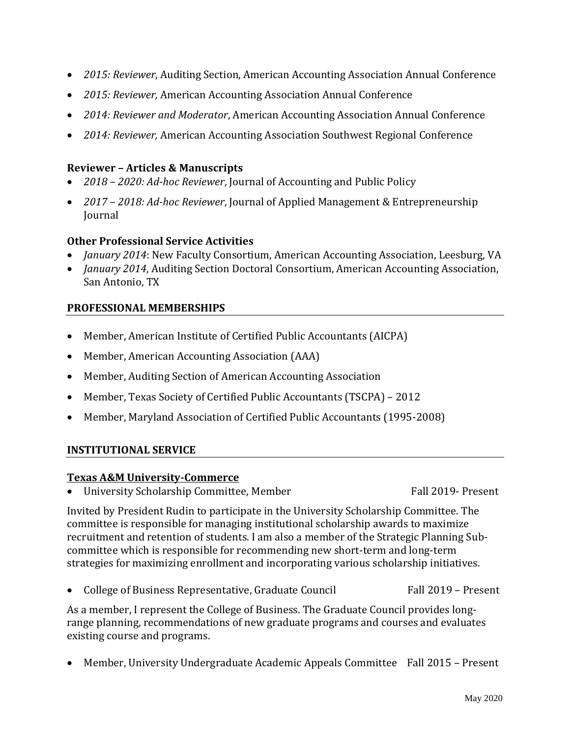- *2015: Reviewer*, Auditing Section, American Accounting Association Annual Conference
- *2015: Reviewer,* American Accounting Association Annual Conference
- *2014: Reviewer and Moderator*, American Accounting Association Annual Conference
- *2014: Reviewer,* American Accounting Association Southwest Regional Conference

#### **Reviewer – Articles & Manuscripts**

- *2018 – 2020: Ad-hoc Reviewer*, Journal of Accounting and Public Policy
- *2017 – 2018: Ad-hoc Reviewer*, Journal of Applied Management & Entrepreneurship Journal

# **Other Professional Service Activities**

- *January 2014*: New Faculty Consortium, American Accounting Association, Leesburg, VA
- *January 2014*, Auditing Section Doctoral Consortium, American Accounting Association, San Antonio, TX

# **PROFESSIONAL MEMBERSHIPS**

- Member, American Institute of Certified Public Accountants (AICPA)
- Member, American Accounting Association (AAA)
- Member, Auditing Section of American Accounting Association
- Member, Texas Society of Certified Public Accountants (TSCPA) 2012
- Member, Maryland Association of Certified Public Accountants (1995-2008)

## **INSTITUTIONAL SERVICE**

## **Texas A&M University-Commerce**

• University Scholarship Committee, Member Fall 2019- Present

Invited by President Rudin to participate in the University Scholarship Committee. The committee is responsible for managing institutional scholarship awards to maximize recruitment and retention of students. I am also a member of the Strategic Planning Subcommittee which is responsible for recommending new short-term and long-term strategies for maximizing enrollment and incorporating various scholarship initiatives.

College of Business Representative, Graduate Council Fall 2019 – Present

As a member, I represent the College of Business. The Graduate Council provides longrange planning, recommendations of new graduate programs and courses and evaluates existing course and programs.

Member, University Undergraduate Academic Appeals Committee Fall 2015 – Present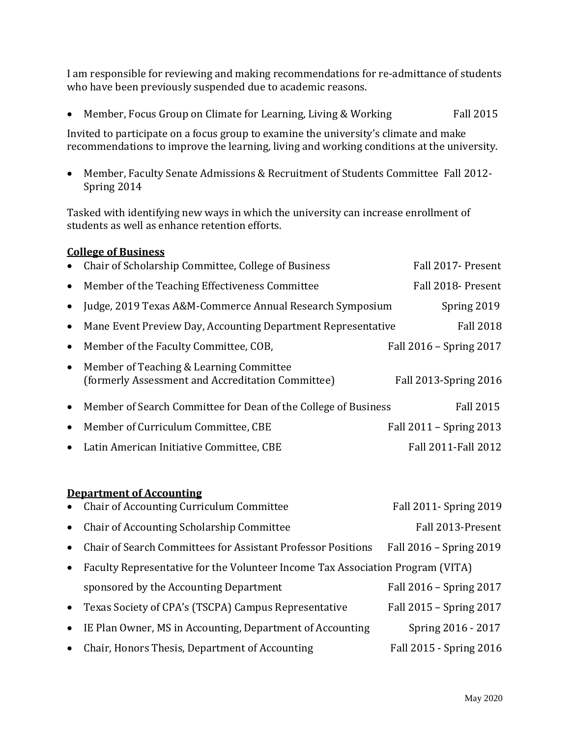I am responsible for reviewing and making recommendations for re-admittance of students who have been previously suspended due to academic reasons.

• Member, Focus Group on Climate for Learning, Living & Working Fall 2015

Invited to participate on a focus group to examine the university's climate and make recommendations to improve the learning, living and working conditions at the university.

 Member, Faculty Senate Admissions & Recruitment of Students Committee Fall 2012- Spring 2014

Tasked with identifying new ways in which the university can increase enrollment of students as well as enhance retention efforts.

## **College of Business**

| $\bullet$ | Chair of Scholarship Committee, College of Business                                          | Fall 2017- Present      |
|-----------|----------------------------------------------------------------------------------------------|-------------------------|
| $\bullet$ | Member of the Teaching Effectiveness Committee                                               | Fall 2018- Present      |
| $\bullet$ | Judge, 2019 Texas A&M-Commerce Annual Research Symposium                                     | Spring 2019             |
| $\bullet$ | Mane Event Preview Day, Accounting Department Representative                                 | <b>Fall 2018</b>        |
| $\bullet$ | Member of the Faculty Committee, COB,                                                        | Fall 2016 - Spring 2017 |
| $\bullet$ | Member of Teaching & Learning Committee<br>(formerly Assessment and Accreditation Committee) | Fall 2013-Spring 2016   |
| $\bullet$ | Member of Search Committee for Dean of the College of Business                               | <b>Fall 2015</b>        |
| $\bullet$ | Member of Curriculum Committee, CBE                                                          | Fall 2011 - Spring 2013 |
| $\bullet$ | Latin American Initiative Committee, CBE                                                     | Fall 2011-Fall 2012     |

#### **Department of Accounting**

|           | • Chair of Accounting Curriculum Committee                                     | Fall 2011- Spring 2019  |
|-----------|--------------------------------------------------------------------------------|-------------------------|
| $\bullet$ | Chair of Accounting Scholarship Committee                                      | Fall 2013-Present       |
| $\bullet$ | <b>Chair of Search Committees for Assistant Professor Positions</b>            | Fall 2016 - Spring 2019 |
| $\bullet$ | Faculty Representative for the Volunteer Income Tax Association Program (VITA) |                         |
|           | sponsored by the Accounting Department                                         | Fall 2016 - Spring 2017 |
| $\bullet$ | Texas Society of CPA's (TSCPA) Campus Representative                           | Fall 2015 - Spring 2017 |
| $\bullet$ | IE Plan Owner, MS in Accounting, Department of Accounting                      | Spring 2016 - 2017      |
| $\bullet$ | Chair, Honors Thesis, Department of Accounting                                 | Fall 2015 - Spring 2016 |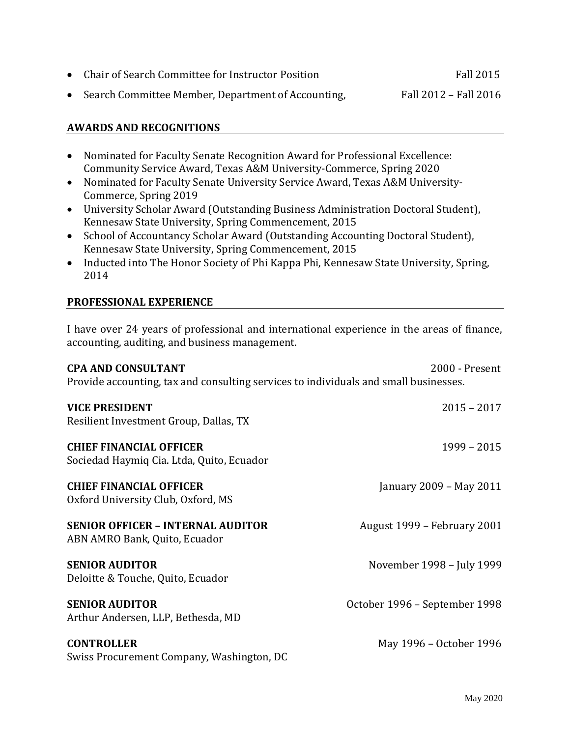| • Chair of Search Committee for Instructor Position  | Fall 2015             |
|------------------------------------------------------|-----------------------|
| • Search Committee Member, Department of Accounting, | Fall 2012 - Fall 2016 |

# **AWARDS AND RECOGNITIONS**

- Nominated for Faculty Senate Recognition Award for Professional Excellence: Community Service Award, Texas A&M University-Commerce, Spring 2020
- Nominated for Faculty Senate University Service Award, Texas A&M University-Commerce, Spring 2019
- University Scholar Award (Outstanding Business Administration Doctoral Student), Kennesaw State University, Spring Commencement, 2015
- School of Accountancy Scholar Award (Outstanding Accounting Doctoral Student), Kennesaw State University, Spring Commencement, 2015
- Inducted into The Honor Society of Phi Kappa Phi, Kennesaw State University, Spring, 2014

# **PROFESSIONAL EXPERIENCE**

I have over 24 years of professional and international experience in the areas of finance, accounting, auditing, and business management.

| <b>CPA AND CONSULTANT</b><br>2000 - Present<br>Provide accounting, tax and consulting services to individuals and small businesses. |                               |  |
|-------------------------------------------------------------------------------------------------------------------------------------|-------------------------------|--|
| <b>VICE PRESIDENT</b><br>Resilient Investment Group, Dallas, TX                                                                     | $2015 - 2017$                 |  |
| <b>CHIEF FINANCIAL OFFICER</b><br>Sociedad Haymiq Cia. Ltda, Quito, Ecuador                                                         | $1999 - 2015$                 |  |
| <b>CHIEF FINANCIAL OFFICER</b><br>Oxford University Club, Oxford, MS                                                                | January 2009 - May 2011       |  |
| <b>SENIOR OFFICER - INTERNAL AUDITOR</b><br>ABN AMRO Bank, Quito, Ecuador                                                           | August 1999 - February 2001   |  |
| <b>SENIOR AUDITOR</b><br>Deloitte & Touche, Quito, Ecuador                                                                          | November 1998 - July 1999     |  |
| <b>SENIOR AUDITOR</b><br>Arthur Andersen, LLP, Bethesda, MD                                                                         | October 1996 - September 1998 |  |
| <b>CONTROLLER</b><br>Swiss Procurement Company, Washington, DC                                                                      | May 1996 – October 1996       |  |